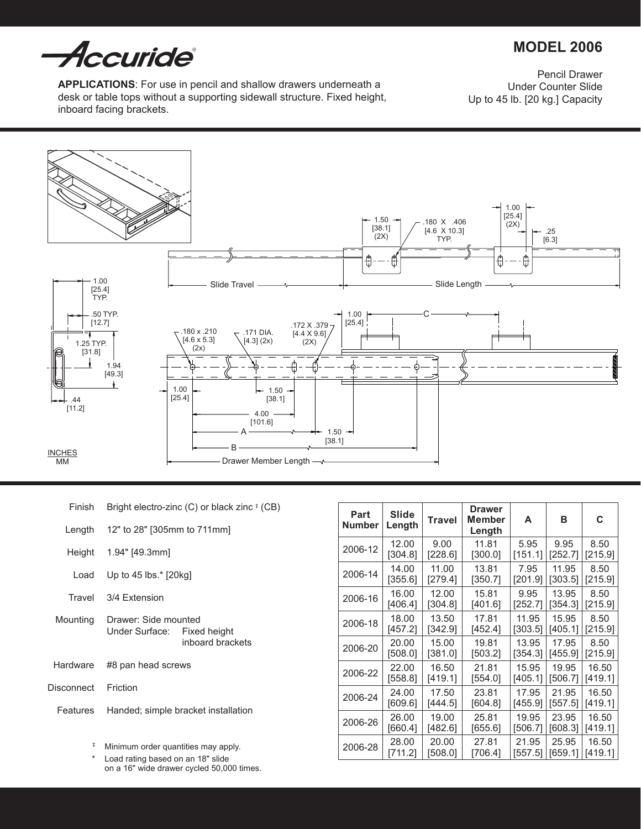*Accuride* 

# **MODEL 2006**

**Applications**: For use in pencil and shallow drawers underneath a desk or table tops without a supporting sidewall structure. Fixed height, inboard facing brackets.

Pencil Drawer Under Counter Slide Up to 45 lb. [20 kg.] Capacity



| Finish     | Bright electro-zinc $(C)$ or black zinc $*$ (CB)    |                  |  |  |
|------------|-----------------------------------------------------|------------------|--|--|
| Length     | 12" to 28" [305mm to 711mm]                         |                  |  |  |
|            | Height 1.94" [49.3mm]                               |                  |  |  |
| Load       | Up to 45 lbs. $*$ [20kg]                            |                  |  |  |
| Travel     | 3/4 Extension                                       |                  |  |  |
| Mounting   | Drawer: Side mounted<br>Under Surface: Fixed height | inboard brackets |  |  |
| Hardware   | #8 pan head screws                                  |                  |  |  |
| Disconnect | Friction                                            |                  |  |  |
| Features   | Handed; simple bracket installation                 |                  |  |  |
|            |                                                     |                  |  |  |

| Part<br><b>Number</b> | Slide<br>Length | <b>Travel</b> | <b>Drawer</b><br>Member<br>Length | A       | в       | С       |
|-----------------------|-----------------|---------------|-----------------------------------|---------|---------|---------|
| 2006-12               | 12.00           | 9.00          | 11.81                             | 5.95    | 9.95    | 8.50    |
|                       | [304.8]         | [228.6]       | [300.0]                           | [151.1] | [252.7] | [215.9] |
| 2006-14               | 14.00           | 11.00         | 13.81                             | 7.95    | 11.95   | 8.50    |
|                       | [355.6]         | [279.4]       | [350.7]                           | [201.9] | [303.5] | [215.9] |
| 2006-16               | 16.00           | 12.00         | 15.81                             | 9.95    | 13.95   | 8.50    |
|                       | [406.4]         | [304.8]       | [401.6]                           | [252.7] | [354.3] | [215.9] |
| 2006-18               | 18.00           | 13.50         | 17.81                             | 11.95   | 15.95   | 8.50    |
|                       | [457.2]         | [342.9]       | [452.4]                           | [303.5] | [405.1] | [215.9] |
| 2006-20               | 20.00           | 15.00         | 19.81                             | 13.95   | 17.95   | 8.50    |
|                       | [508.0]         | [381.0]       | [503.2]                           | [354.3] | [455.9] | [215.9] |
| 2006-22               | 22.00           | 16.50         | 21.81                             | 15.95   | 19.95   | 16.50   |
|                       | [558.8]         | [419.1]       | [554.0]                           | [405.1] | [506.7] | [419.1] |
| 2006-24               | 24.00           | 17.50         | 23.81                             | 17.95   | 21.95   | 16.50   |
|                       | [609.6]         | [444.5]       | [604.8]                           | [455.9] | [557.5] | [419.1] |
| 2006-26               | 26.00           | 19.00         | 25.81                             | 19.95   | 23.95   | 16.50   |
|                       | [660.4]         | [482.6]       | [655.6]                           | [506.7] | [608.3] | [419.1] |
| 2006-28               | 28.00           | 20.00         | 27.81                             | 21.95   | 25.95   | 16.50   |
|                       | [711.2]         | [508.0]       | [706.4]                           | [557.5] | [659.1] | [419.1] |

‡ Minimum order quantities may apply.

\* Load rating based on an 18" slide on a 16" wide drawer cycled 50,000 times.